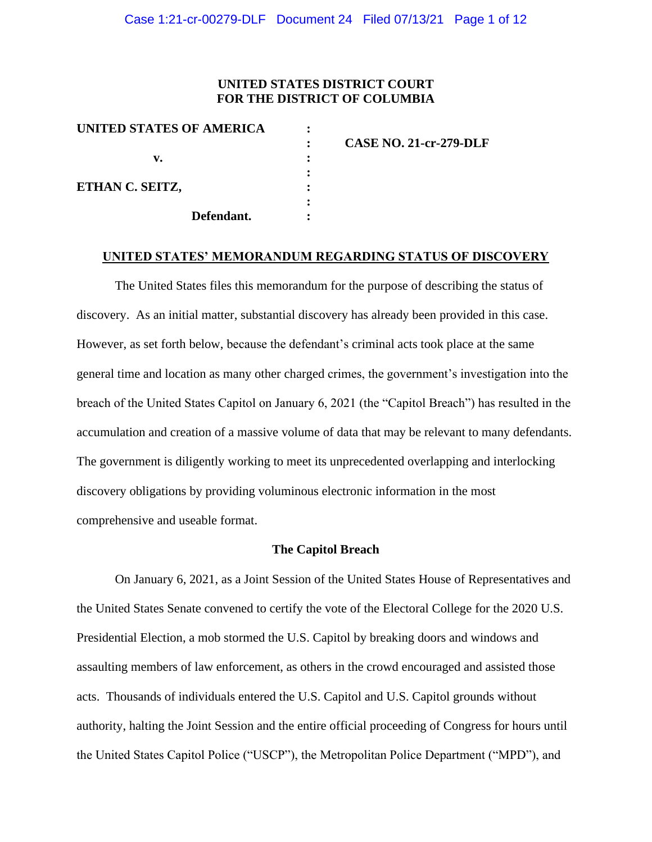### **UNITED STATES DISTRICT COURT FOR THE DISTRICT OF COLUMBIA**

| UNITED STATES OF AMERICA |                               |
|--------------------------|-------------------------------|
|                          | <b>CASE NO. 21-cr-279-DLF</b> |
| v.                       |                               |
|                          |                               |
| ETHAN C. SEITZ,          |                               |
|                          |                               |
| Defendant.               |                               |

#### **UNITED STATES' MEMORANDUM REGARDING STATUS OF DISCOVERY**

The United States files this memorandum for the purpose of describing the status of discovery. As an initial matter, substantial discovery has already been provided in this case. However, as set forth below, because the defendant's criminal acts took place at the same general time and location as many other charged crimes, the government's investigation into the breach of the United States Capitol on January 6, 2021 (the "Capitol Breach") has resulted in the accumulation and creation of a massive volume of data that may be relevant to many defendants. The government is diligently working to meet its unprecedented overlapping and interlocking discovery obligations by providing voluminous electronic information in the most comprehensive and useable format.

#### **The Capitol Breach**

On January 6, 2021, as a Joint Session of the United States House of Representatives and the United States Senate convened to certify the vote of the Electoral College for the 2020 U.S. Presidential Election, a mob stormed the U.S. Capitol by breaking doors and windows and assaulting members of law enforcement, as others in the crowd encouraged and assisted those acts. Thousands of individuals entered the U.S. Capitol and U.S. Capitol grounds without authority, halting the Joint Session and the entire official proceeding of Congress for hours until the United States Capitol Police ("USCP"), the Metropolitan Police Department ("MPD"), and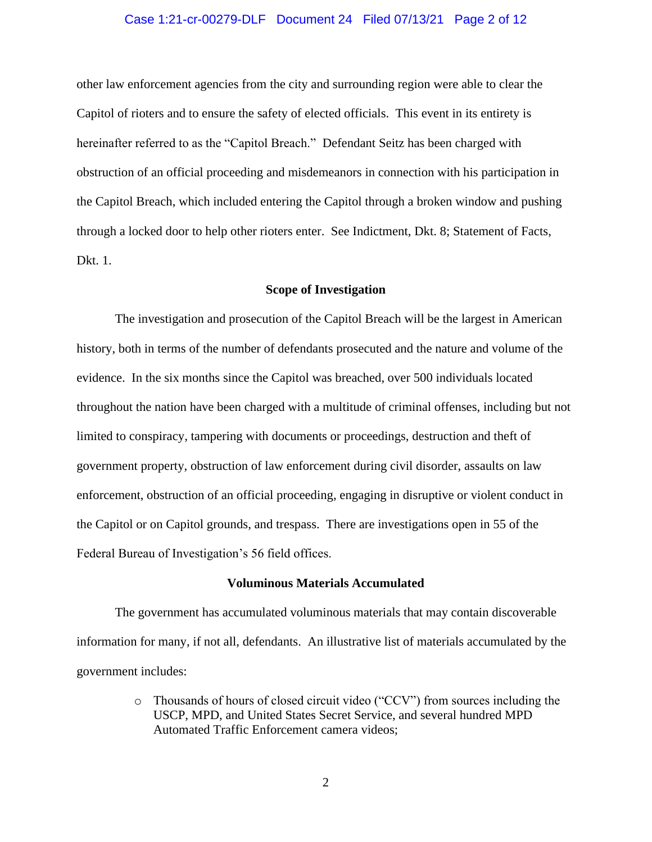#### Case 1:21-cr-00279-DLF Document 24 Filed 07/13/21 Page 2 of 12

other law enforcement agencies from the city and surrounding region were able to clear the Capitol of rioters and to ensure the safety of elected officials. This event in its entirety is hereinafter referred to as the "Capitol Breach." Defendant Seitz has been charged with obstruction of an official proceeding and misdemeanors in connection with his participation in the Capitol Breach, which included entering the Capitol through a broken window and pushing through a locked door to help other rioters enter. See Indictment, Dkt. 8; Statement of Facts, Dkt. 1.

#### **Scope of Investigation**

The investigation and prosecution of the Capitol Breach will be the largest in American history, both in terms of the number of defendants prosecuted and the nature and volume of the evidence. In the six months since the Capitol was breached, over 500 individuals located throughout the nation have been charged with a multitude of criminal offenses, including but not limited to conspiracy, tampering with documents or proceedings, destruction and theft of government property, obstruction of law enforcement during civil disorder, assaults on law enforcement, obstruction of an official proceeding, engaging in disruptive or violent conduct in the Capitol or on Capitol grounds, and trespass. There are investigations open in 55 of the Federal Bureau of Investigation's 56 field offices.

#### **Voluminous Materials Accumulated**

The government has accumulated voluminous materials that may contain discoverable information for many, if not all, defendants. An illustrative list of materials accumulated by the government includes:

> o Thousands of hours of closed circuit video ("CCV") from sources including the USCP, MPD, and United States Secret Service, and several hundred MPD Automated Traffic Enforcement camera videos;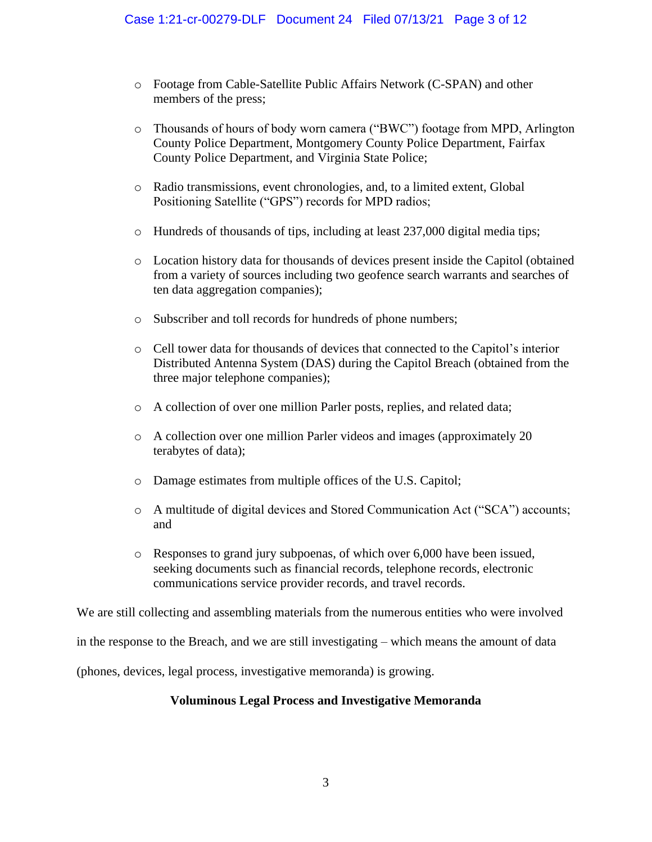- o Footage from Cable-Satellite Public Affairs Network (C-SPAN) and other members of the press;
- o Thousands of hours of body worn camera ("BWC") footage from MPD, Arlington County Police Department, Montgomery County Police Department, Fairfax County Police Department, and Virginia State Police;
- o Radio transmissions, event chronologies, and, to a limited extent, Global Positioning Satellite ("GPS") records for MPD radios;
- $\circ$  Hundreds of thousands of tips, including at least 237,000 digital media tips;
- o Location history data for thousands of devices present inside the Capitol (obtained from a variety of sources including two geofence search warrants and searches of ten data aggregation companies);
- o Subscriber and toll records for hundreds of phone numbers;
- o Cell tower data for thousands of devices that connected to the Capitol's interior Distributed Antenna System (DAS) during the Capitol Breach (obtained from the three major telephone companies);
- o A collection of over one million Parler posts, replies, and related data;
- o A collection over one million Parler videos and images (approximately 20 terabytes of data);
- o Damage estimates from multiple offices of the U.S. Capitol;
- o A multitude of digital devices and Stored Communication Act ("SCA") accounts; and
- o Responses to grand jury subpoenas, of which over 6,000 have been issued, seeking documents such as financial records, telephone records, electronic communications service provider records, and travel records.

We are still collecting and assembling materials from the numerous entities who were involved

in the response to the Breach, and we are still investigating – which means the amount of data

(phones, devices, legal process, investigative memoranda) is growing.

## **Voluminous Legal Process and Investigative Memoranda**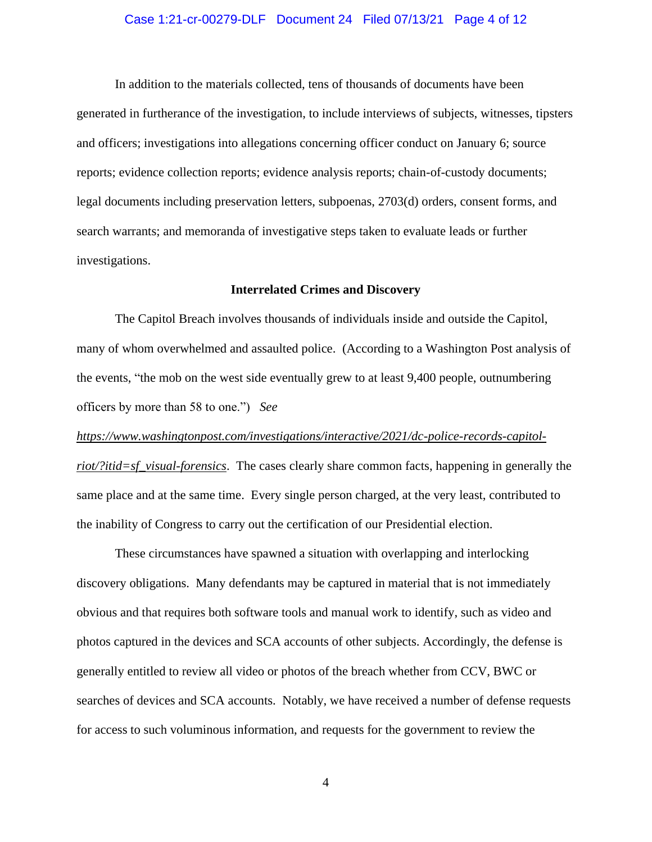#### Case 1:21-cr-00279-DLF Document 24 Filed 07/13/21 Page 4 of 12

In addition to the materials collected, tens of thousands of documents have been generated in furtherance of the investigation, to include interviews of subjects, witnesses, tipsters and officers; investigations into allegations concerning officer conduct on January 6; source reports; evidence collection reports; evidence analysis reports; chain-of-custody documents; legal documents including preservation letters, subpoenas, 2703(d) orders, consent forms, and search warrants; and memoranda of investigative steps taken to evaluate leads or further investigations.

#### **Interrelated Crimes and Discovery**

The Capitol Breach involves thousands of individuals inside and outside the Capitol, many of whom overwhelmed and assaulted police. (According to a Washington Post analysis of the events, "the mob on the west side eventually grew to at least 9,400 people, outnumbering officers by more than 58 to one.") *See* 

*https://www.washingtonpost.com/investigations/interactive/2021/dc-police-records-capitolriot/?itid=sf\_visual-forensics*. The cases clearly share common facts, happening in generally the same place and at the same time. Every single person charged, at the very least, contributed to the inability of Congress to carry out the certification of our Presidential election.

These circumstances have spawned a situation with overlapping and interlocking discovery obligations. Many defendants may be captured in material that is not immediately obvious and that requires both software tools and manual work to identify, such as video and photos captured in the devices and SCA accounts of other subjects. Accordingly, the defense is generally entitled to review all video or photos of the breach whether from CCV, BWC or searches of devices and SCA accounts. Notably, we have received a number of defense requests for access to such voluminous information, and requests for the government to review the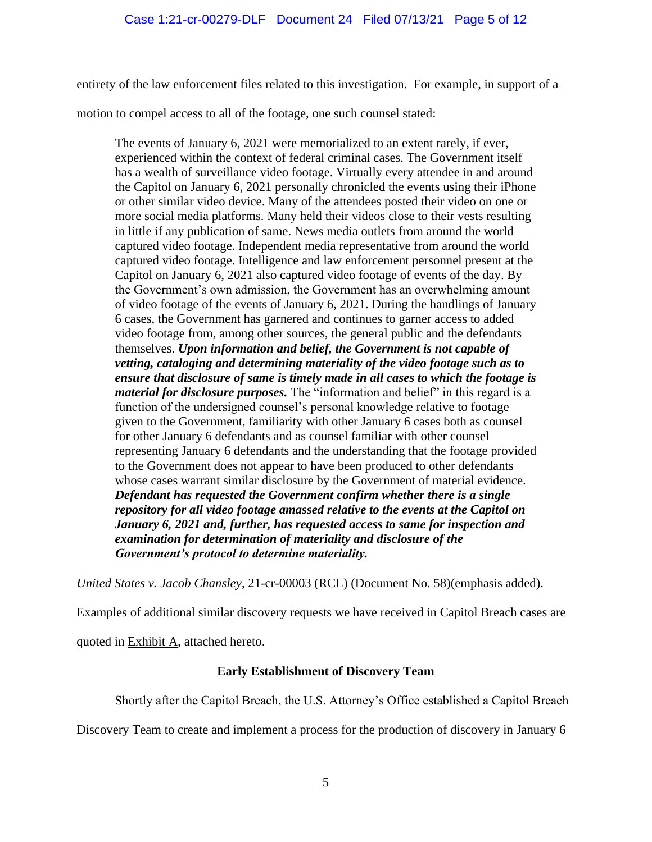entirety of the law enforcement files related to this investigation. For example, in support of a

motion to compel access to all of the footage, one such counsel stated:

The events of January 6, 2021 were memorialized to an extent rarely, if ever, experienced within the context of federal criminal cases. The Government itself has a wealth of surveillance video footage. Virtually every attendee in and around the Capitol on January 6, 2021 personally chronicled the events using their iPhone or other similar video device. Many of the attendees posted their video on one or more social media platforms. Many held their videos close to their vests resulting in little if any publication of same. News media outlets from around the world captured video footage. Independent media representative from around the world captured video footage. Intelligence and law enforcement personnel present at the Capitol on January 6, 2021 also captured video footage of events of the day. By the Government's own admission, the Government has an overwhelming amount of video footage of the events of January 6, 2021. During the handlings of January 6 cases, the Government has garnered and continues to garner access to added video footage from, among other sources, the general public and the defendants themselves. *Upon information and belief, the Government is not capable of vetting, cataloging and determining materiality of the video footage such as to ensure that disclosure of same is timely made in all cases to which the footage is material for disclosure purposes.* The "information and belief" in this regard is a function of the undersigned counsel's personal knowledge relative to footage given to the Government, familiarity with other January 6 cases both as counsel for other January 6 defendants and as counsel familiar with other counsel representing January 6 defendants and the understanding that the footage provided to the Government does not appear to have been produced to other defendants whose cases warrant similar disclosure by the Government of material evidence. *Defendant has requested the Government confirm whether there is a single repository for all video footage amassed relative to the events at the Capitol on January 6, 2021 and, further, has requested access to same for inspection and examination for determination of materiality and disclosure of the Government's protocol to determine materiality.*

*United States v. Jacob Chansley*, 21-cr-00003 (RCL) (Document No. 58)(emphasis added).

Examples of additional similar discovery requests we have received in Capitol Breach cases are

quoted in Exhibit A, attached hereto.

### **Early Establishment of Discovery Team**

Shortly after the Capitol Breach, the U.S. Attorney's Office established a Capitol Breach

Discovery Team to create and implement a process for the production of discovery in January 6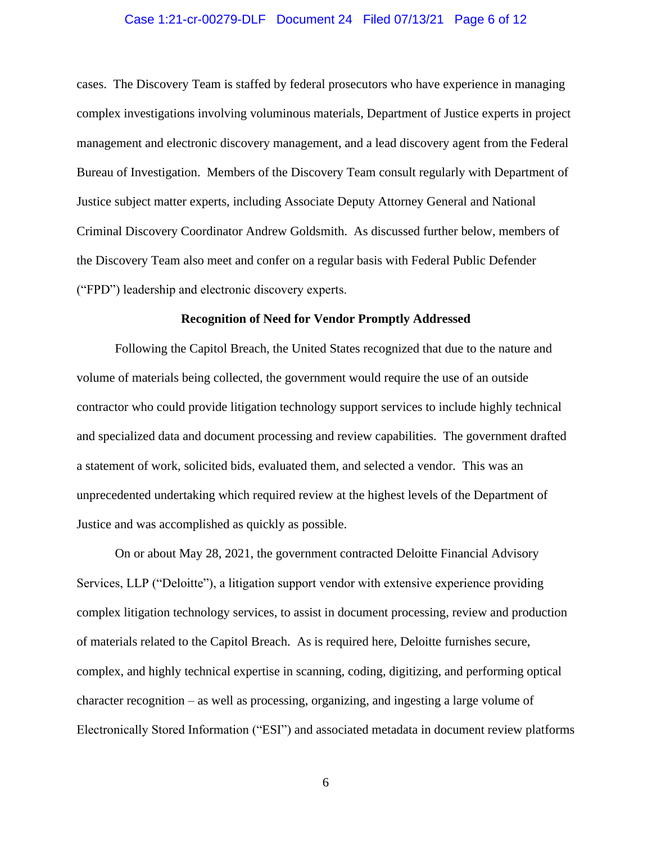#### Case 1:21-cr-00279-DLF Document 24 Filed 07/13/21 Page 6 of 12

cases. The Discovery Team is staffed by federal prosecutors who have experience in managing complex investigations involving voluminous materials, Department of Justice experts in project management and electronic discovery management, and a lead discovery agent from the Federal Bureau of Investigation. Members of the Discovery Team consult regularly with Department of Justice subject matter experts, including Associate Deputy Attorney General and National Criminal Discovery Coordinator Andrew Goldsmith. As discussed further below, members of the Discovery Team also meet and confer on a regular basis with Federal Public Defender ("FPD") leadership and electronic discovery experts.

#### **Recognition of Need for Vendor Promptly Addressed**

Following the Capitol Breach, the United States recognized that due to the nature and volume of materials being collected, the government would require the use of an outside contractor who could provide litigation technology support services to include highly technical and specialized data and document processing and review capabilities. The government drafted a statement of work, solicited bids, evaluated them, and selected a vendor. This was an unprecedented undertaking which required review at the highest levels of the Department of Justice and was accomplished as quickly as possible.

On or about May 28, 2021, the government contracted Deloitte Financial Advisory Services, LLP ("Deloitte"), a litigation support vendor with extensive experience providing complex litigation technology services, to assist in document processing, review and production of materials related to the Capitol Breach. As is required here, Deloitte furnishes secure, complex, and highly technical expertise in scanning, coding, digitizing, and performing optical character recognition – as well as processing, organizing, and ingesting a large volume of Electronically Stored Information ("ESI") and associated metadata in document review platforms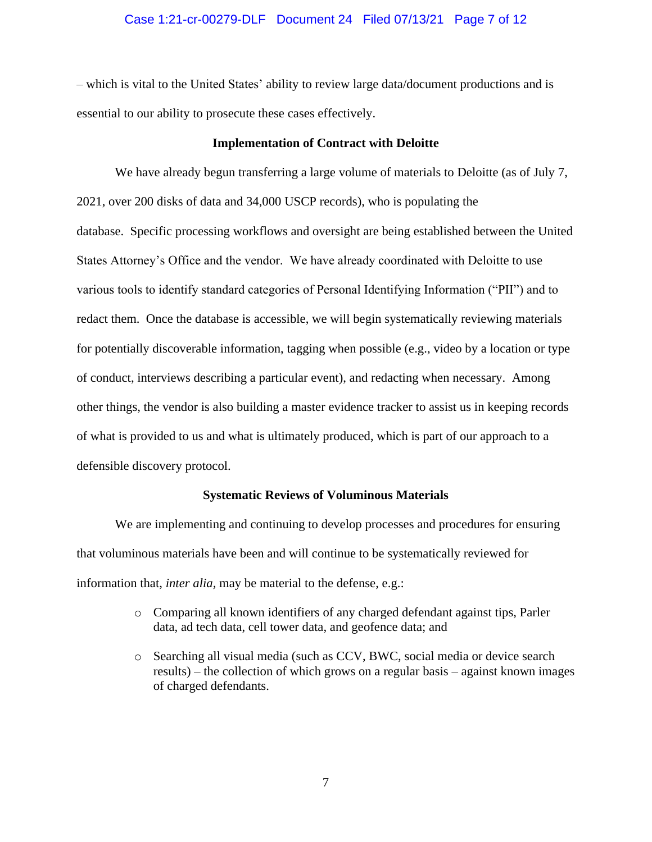#### Case 1:21-cr-00279-DLF Document 24 Filed 07/13/21 Page 7 of 12

– which is vital to the United States' ability to review large data/document productions and is essential to our ability to prosecute these cases effectively.

#### **Implementation of Contract with Deloitte**

We have already begun transferring a large volume of materials to Deloitte (as of July 7, 2021, over 200 disks of data and 34,000 USCP records), who is populating the database. Specific processing workflows and oversight are being established between the United States Attorney's Office and the vendor. We have already coordinated with Deloitte to use various tools to identify standard categories of Personal Identifying Information ("PII") and to redact them. Once the database is accessible, we will begin systematically reviewing materials for potentially discoverable information, tagging when possible (e.g., video by a location or type of conduct, interviews describing a particular event), and redacting when necessary. Among other things, the vendor is also building a master evidence tracker to assist us in keeping records of what is provided to us and what is ultimately produced, which is part of our approach to a defensible discovery protocol.

#### **Systematic Reviews of Voluminous Materials**

We are implementing and continuing to develop processes and procedures for ensuring that voluminous materials have been and will continue to be systematically reviewed for information that, *inter alia,* may be material to the defense, e.g.:

- o Comparing all known identifiers of any charged defendant against tips, Parler data, ad tech data, cell tower data, and geofence data; and
- o Searching all visual media (such as CCV, BWC, social media or device search results) – the collection of which grows on a regular basis – against known images of charged defendants.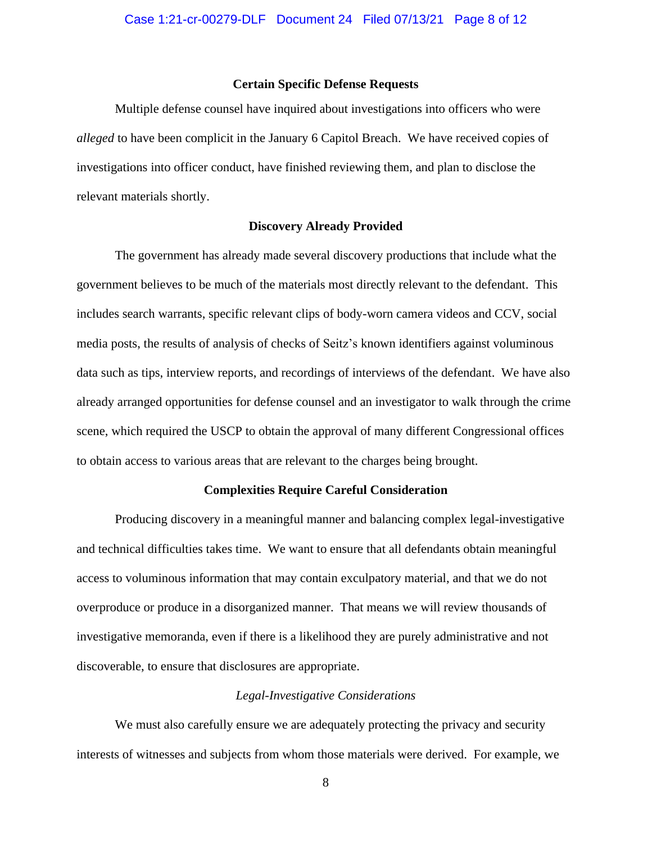#### **Certain Specific Defense Requests**

Multiple defense counsel have inquired about investigations into officers who were *alleged* to have been complicit in the January 6 Capitol Breach. We have received copies of investigations into officer conduct, have finished reviewing them, and plan to disclose the relevant materials shortly.

#### **Discovery Already Provided**

The government has already made several discovery productions that include what the government believes to be much of the materials most directly relevant to the defendant. This includes search warrants, specific relevant clips of body-worn camera videos and CCV, social media posts, the results of analysis of checks of Seitz's known identifiers against voluminous data such as tips, interview reports, and recordings of interviews of the defendant. We have also already arranged opportunities for defense counsel and an investigator to walk through the crime scene, which required the USCP to obtain the approval of many different Congressional offices to obtain access to various areas that are relevant to the charges being brought.

#### **Complexities Require Careful Consideration**

Producing discovery in a meaningful manner and balancing complex legal-investigative and technical difficulties takes time. We want to ensure that all defendants obtain meaningful access to voluminous information that may contain exculpatory material, and that we do not overproduce or produce in a disorganized manner. That means we will review thousands of investigative memoranda, even if there is a likelihood they are purely administrative and not discoverable, to ensure that disclosures are appropriate.

#### *Legal-Investigative Considerations*

We must also carefully ensure we are adequately protecting the privacy and security interests of witnesses and subjects from whom those materials were derived. For example, we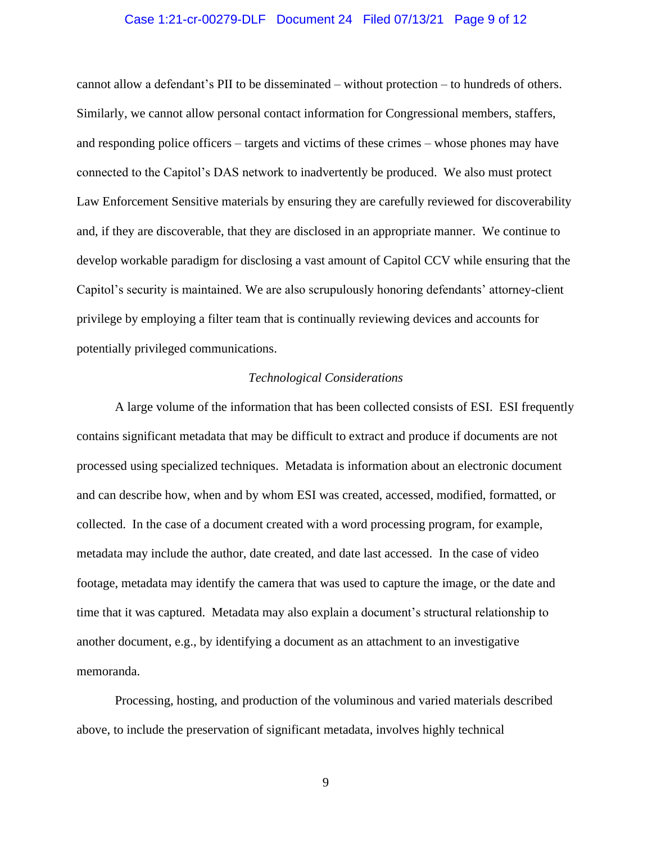#### Case 1:21-cr-00279-DLF Document 24 Filed 07/13/21 Page 9 of 12

cannot allow a defendant's PII to be disseminated – without protection – to hundreds of others. Similarly, we cannot allow personal contact information for Congressional members, staffers, and responding police officers – targets and victims of these crimes – whose phones may have connected to the Capitol's DAS network to inadvertently be produced. We also must protect Law Enforcement Sensitive materials by ensuring they are carefully reviewed for discoverability and, if they are discoverable, that they are disclosed in an appropriate manner. We continue to develop workable paradigm for disclosing a vast amount of Capitol CCV while ensuring that the Capitol's security is maintained. We are also scrupulously honoring defendants' attorney-client privilege by employing a filter team that is continually reviewing devices and accounts for potentially privileged communications.

#### *Technological Considerations*

A large volume of the information that has been collected consists of ESI. ESI frequently contains significant metadata that may be difficult to extract and produce if documents are not processed using specialized techniques. Metadata is information about an electronic document and can describe how, when and by whom ESI was created, accessed, modified, formatted, or collected. In the case of a document created with a word processing program, for example, metadata may include the author, date created, and date last accessed. In the case of video footage, metadata may identify the camera that was used to capture the image, or the date and time that it was captured. Metadata may also explain a document's structural relationship to another document, e.g., by identifying a document as an attachment to an investigative memoranda.

Processing, hosting, and production of the voluminous and varied materials described above, to include the preservation of significant metadata, involves highly technical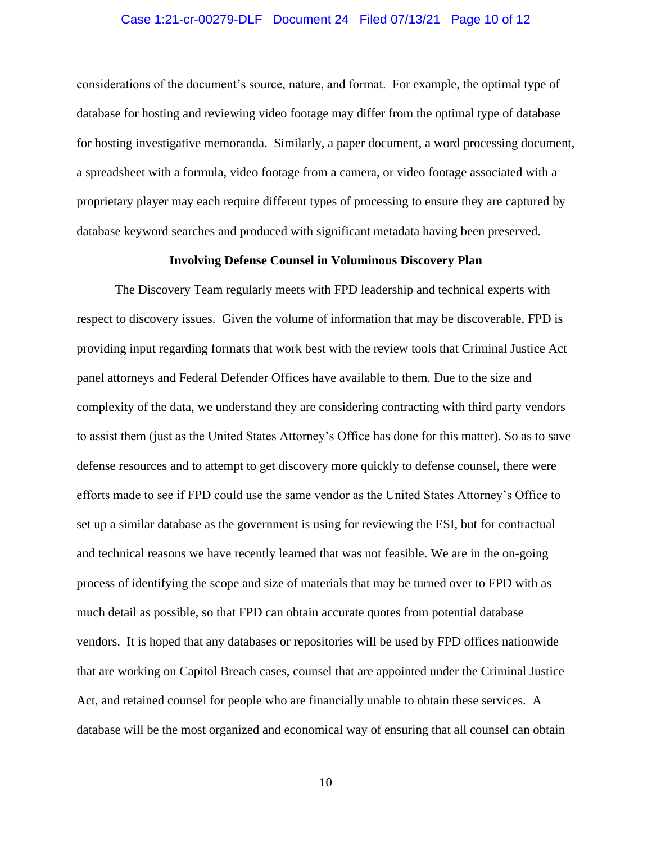#### Case 1:21-cr-00279-DLF Document 24 Filed 07/13/21 Page 10 of 12

considerations of the document's source, nature, and format. For example, the optimal type of database for hosting and reviewing video footage may differ from the optimal type of database for hosting investigative memoranda. Similarly, a paper document, a word processing document, a spreadsheet with a formula, video footage from a camera, or video footage associated with a proprietary player may each require different types of processing to ensure they are captured by database keyword searches and produced with significant metadata having been preserved.

#### **Involving Defense Counsel in Voluminous Discovery Plan**

The Discovery Team regularly meets with FPD leadership and technical experts with respect to discovery issues. Given the volume of information that may be discoverable, FPD is providing input regarding formats that work best with the review tools that Criminal Justice Act panel attorneys and Federal Defender Offices have available to them. Due to the size and complexity of the data, we understand they are considering contracting with third party vendors to assist them (just as the United States Attorney's Office has done for this matter). So as to save defense resources and to attempt to get discovery more quickly to defense counsel, there were efforts made to see if FPD could use the same vendor as the United States Attorney's Office to set up a similar database as the government is using for reviewing the ESI, but for contractual and technical reasons we have recently learned that was not feasible. We are in the on-going process of identifying the scope and size of materials that may be turned over to FPD with as much detail as possible, so that FPD can obtain accurate quotes from potential database vendors. It is hoped that any databases or repositories will be used by FPD offices nationwide that are working on Capitol Breach cases, counsel that are appointed under the Criminal Justice Act, and retained counsel for people who are financially unable to obtain these services. A database will be the most organized and economical way of ensuring that all counsel can obtain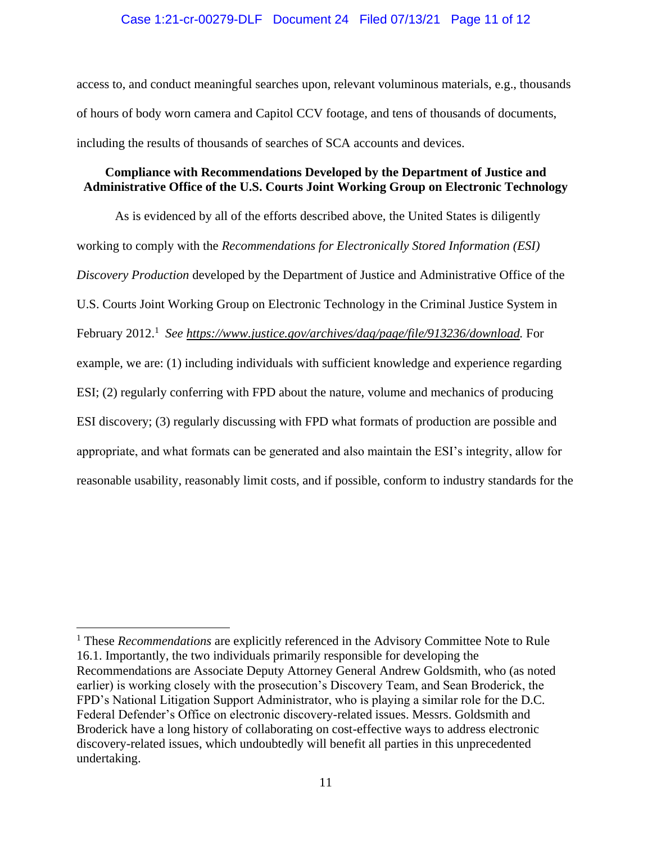access to, and conduct meaningful searches upon, relevant voluminous materials, e.g., thousands of hours of body worn camera and Capitol CCV footage, and tens of thousands of documents, including the results of thousands of searches of SCA accounts and devices.

## **Compliance with Recommendations Developed by the Department of Justice and Administrative Office of the U.S. Courts Joint Working Group on Electronic Technology**

As is evidenced by all of the efforts described above, the United States is diligently working to comply with the *Recommendations for Electronically Stored Information (ESI) Discovery Production* developed by the Department of Justice and Administrative Office of the U.S. Courts Joint Working Group on Electronic Technology in the Criminal Justice System in February 2012.<sup>1</sup> See https://www.justice.gov/archives/dag/page/file/913236/download. For example, we are: (1) including individuals with sufficient knowledge and experience regarding ESI; (2) regularly conferring with FPD about the nature, volume and mechanics of producing ESI discovery; (3) regularly discussing with FPD what formats of production are possible and appropriate, and what formats can be generated and also maintain the ESI's integrity, allow for reasonable usability, reasonably limit costs, and if possible, conform to industry standards for the

<sup>&</sup>lt;sup>1</sup> These *Recommendations* are explicitly referenced in the Advisory Committee Note to Rule 16.1. Importantly, the two individuals primarily responsible for developing the Recommendations are Associate Deputy Attorney General Andrew Goldsmith, who (as noted earlier) is working closely with the prosecution's Discovery Team, and Sean Broderick, the FPD's National Litigation Support Administrator, who is playing a similar role for the D.C. Federal Defender's Office on electronic discovery-related issues. Messrs. Goldsmith and Broderick have a long history of collaborating on cost-effective ways to address electronic discovery-related issues, which undoubtedly will benefit all parties in this unprecedented undertaking.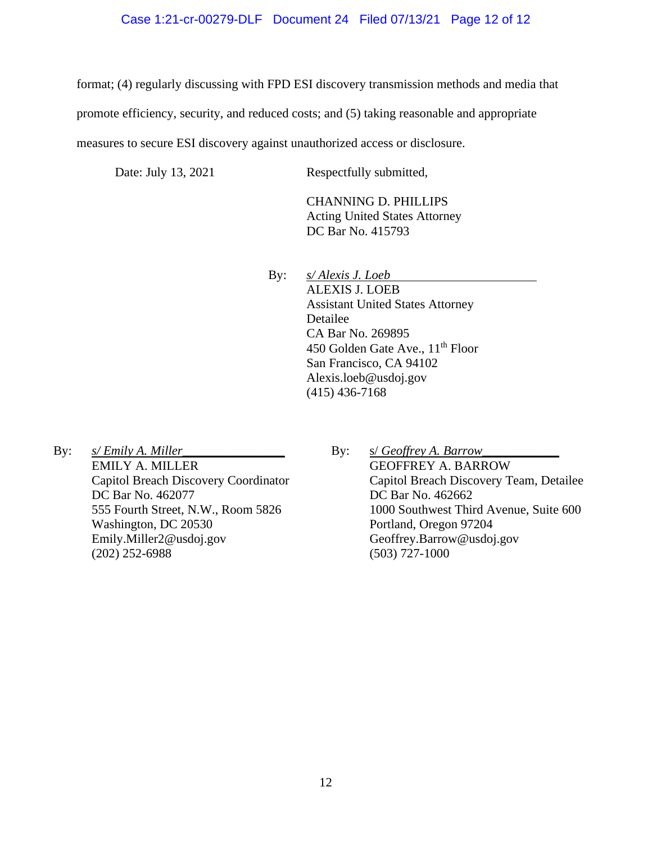#### Case 1:21-cr-00279-DLF Document 24 Filed 07/13/21 Page 12 of 12

format; (4) regularly discussing with FPD ESI discovery transmission methods and media that

promote efficiency, security, and reduced costs; and (5) taking reasonable and appropriate

measures to secure ESI discovery against unauthorized access or disclosure.

Date: July 13, 2021 Respectfully submitted,

CHANNING D. PHILLIPS Acting United States Attorney DC Bar No. 415793

By: *s/ Alexis J. Loeb* ALEXIS J. LOEB Assistant United States Attorney Detailee CA Bar No. 269895 450 Golden Gate Ave., 11<sup>th</sup> Floor San Francisco, CA 94102 Alexis.loeb@usdoj.gov (415) 436-7168

By: *s/ Emily A. Miller\_* EMILY A. MILLER Capitol Breach Discovery Coordinator DC Bar No. 462077 555 Fourth Street, N.W., Room 5826 Washington, DC 20530 Emily.Miller2@usdoj.gov (202) 252-6988

By: *s/ Geoffrey A. Barrow\_* GEOFFREY A. BARROW Capitol Breach Discovery Team, Detailee DC Bar No. 462662 1000 Southwest Third Avenue, Suite 600 Portland, Oregon 97204 Geoffrey.Barrow@usdoj.gov (503) 727-1000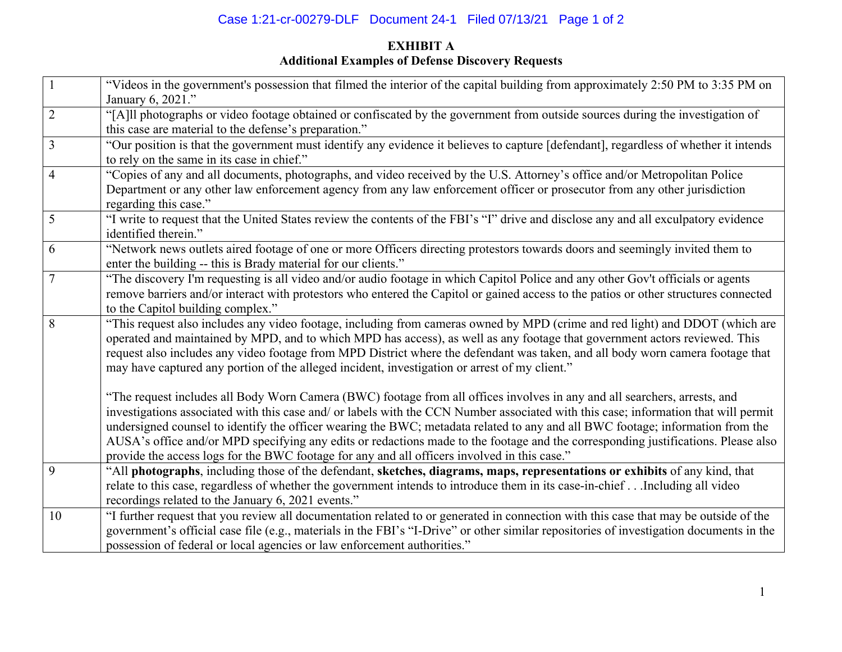# Case 1:21-cr-00279-DLF Document 24-1 Filed 07/13/21 Page 1 of 2

## **EXHIBIT A Additional Examples of Defense Discovery Requests**

| $\mathbf{1}$   | "Videos in the government's possession that filmed the interior of the capital building from approximately 2:50 PM to 3:35 PM on<br>January 6, 2021." |
|----------------|-------------------------------------------------------------------------------------------------------------------------------------------------------|
| $\overline{2}$ | "[A]ll photographs or video footage obtained or confiscated by the government from outside sources during the investigation of                        |
|                | this case are material to the defense's preparation."                                                                                                 |
| $\overline{3}$ | "Our position is that the government must identify any evidence it believes to capture [defendant], regardless of whether it intends                  |
|                | to rely on the same in its case in chief."                                                                                                            |
| $\overline{4}$ | "Copies of any and all documents, photographs, and video received by the U.S. Attorney's office and/or Metropolitan Police                            |
|                | Department or any other law enforcement agency from any law enforcement officer or prosecutor from any other jurisdiction                             |
|                | regarding this case."                                                                                                                                 |
| 5              | "I write to request that the United States review the contents of the FBI's "I" drive and disclose any and all exculpatory evidence                   |
|                | identified therein."                                                                                                                                  |
| 6              | "Network news outlets aired footage of one or more Officers directing protestors towards doors and seemingly invited them to                          |
|                | enter the building -- this is Brady material for our clients."                                                                                        |
| $\overline{7}$ | "The discovery I'm requesting is all video and/or audio footage in which Capitol Police and any other Gov't officials or agents                       |
|                | remove barriers and/or interact with protestors who entered the Capitol or gained access to the patios or other structures connected                  |
|                | to the Capitol building complex."                                                                                                                     |
| 8              | "This request also includes any video footage, including from cameras owned by MPD (crime and red light) and DDOT (which are                          |
|                | operated and maintained by MPD, and to which MPD has access), as well as any footage that government actors reviewed. This                            |
|                | request also includes any video footage from MPD District where the defendant was taken, and all body worn camera footage that                        |
|                | may have captured any portion of the alleged incident, investigation or arrest of my client."                                                         |
|                |                                                                                                                                                       |
|                | "The request includes all Body Worn Camera (BWC) footage from all offices involves in any and all searchers, arrests, and                             |
|                | investigations associated with this case and/ or labels with the CCN Number associated with this case; information that will permit                   |
|                | undersigned counsel to identify the officer wearing the BWC; metadata related to any and all BWC footage; information from the                        |
|                | AUSA's office and/or MPD specifying any edits or redactions made to the footage and the corresponding justifications. Please also                     |
|                | provide the access logs for the BWC footage for any and all officers involved in this case."                                                          |
| 9              | "All photographs, including those of the defendant, sketches, diagrams, maps, representations or exhibits of any kind, that                           |
|                | relate to this case, regardless of whether the government intends to introduce them in its case-in-chiefIncluding all video                           |
|                | recordings related to the January 6, 2021 events."                                                                                                    |
| 10             | "I further request that you review all documentation related to or generated in connection with this case that may be outside of the                  |
|                | government's official case file (e.g., materials in the FBI's "I-Drive" or other similar repositories of investigation documents in the               |
|                | possession of federal or local agencies or law enforcement authorities."                                                                              |